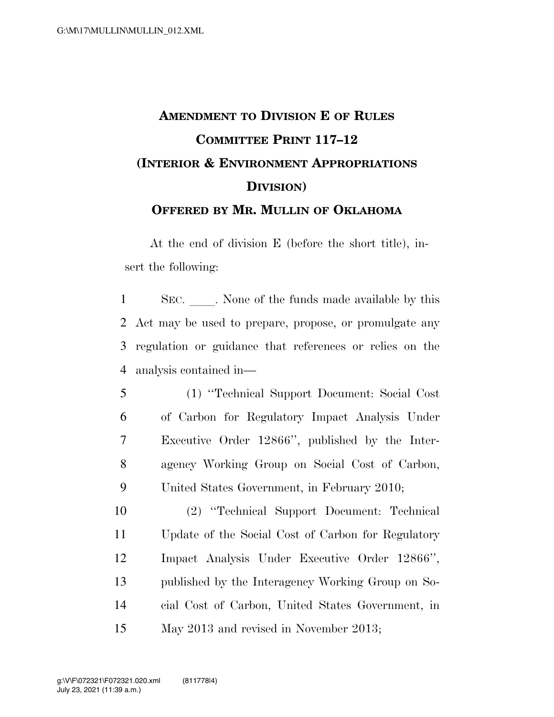## **AMENDMENT TO DIVISION E OF RULES COMMITTEE PRINT 117–12 (INTERIOR & ENVIRONMENT APPROPRIATIONS DIVISION) OFFERED BY MR. MULLIN OF OKLAHOMA**

At the end of division E (before the short title), insert the following:

1 SEC. None of the funds made available by this Act may be used to prepare, propose, or promulgate any regulation or guidance that references or relies on the analysis contained in—

 (1) ''Technical Support Document: Social Cost of Carbon for Regulatory Impact Analysis Under Executive Order 12866'', published by the Inter- agency Working Group on Social Cost of Carbon, United States Government, in February 2010;

 (2) ''Technical Support Document: Technical Update of the Social Cost of Carbon for Regulatory Impact Analysis Under Executive Order 12866'', published by the Interagency Working Group on So- cial Cost of Carbon, United States Government, in May 2013 and revised in November 2013;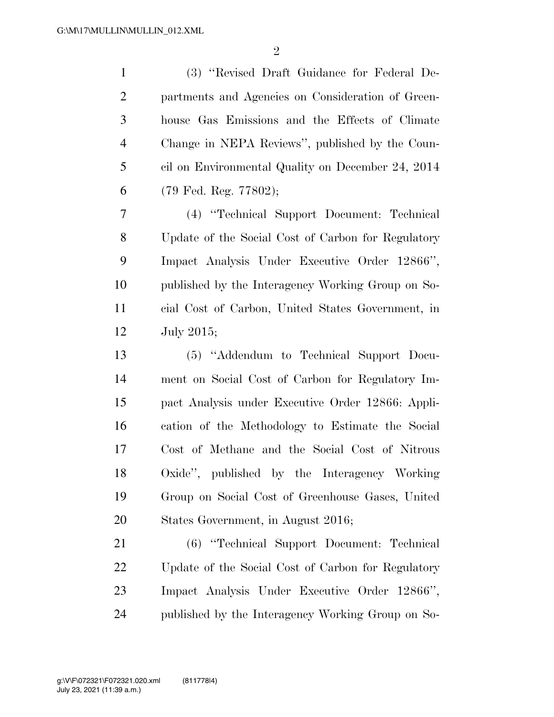$\mathfrak{D}$ 

 (3) ''Revised Draft Guidance for Federal De- partments and Agencies on Consideration of Green- house Gas Emissions and the Effects of Climate Change in NEPA Reviews'', published by the Coun- cil on Environmental Quality on December 24, 2014 (79 Fed. Reg. 77802);

 (4) ''Technical Support Document: Technical Update of the Social Cost of Carbon for Regulatory Impact Analysis Under Executive Order 12866'', published by the Interagency Working Group on So- cial Cost of Carbon, United States Government, in July 2015;

 (5) ''Addendum to Technical Support Docu- ment on Social Cost of Carbon for Regulatory Im- pact Analysis under Executive Order 12866: Appli- cation of the Methodology to Estimate the Social Cost of Methane and the Social Cost of Nitrous Oxide'', published by the Interagency Working Group on Social Cost of Greenhouse Gases, United States Government, in August 2016;

 (6) ''Technical Support Document: Technical Update of the Social Cost of Carbon for Regulatory Impact Analysis Under Executive Order 12866'', published by the Interagency Working Group on So